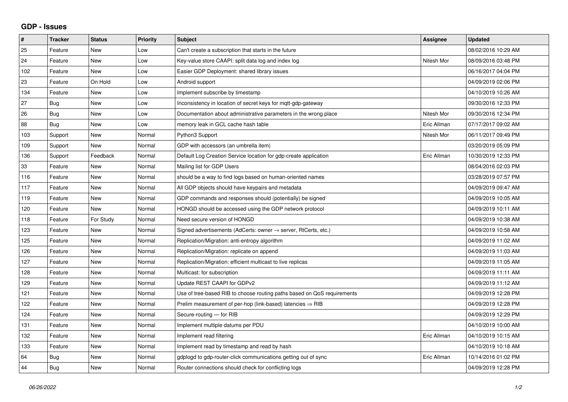## **GDP - Issues**

| $\vert$ # | <b>Tracker</b> | <b>Status</b> | <b>Priority</b> | <b>Subject</b>                                                          | Assignee    | <b>Updated</b>      |
|-----------|----------------|---------------|-----------------|-------------------------------------------------------------------------|-------------|---------------------|
| 25        | Feature        | <b>New</b>    | Low             | Can't create a subscription that starts in the future                   |             | 08/02/2016 10:29 AM |
| 24        | Feature        | <b>New</b>    | Low             | Key-value store CAAPI: split data log and index log                     | Nitesh Mor  | 08/09/2016 03:48 PM |
| 102       | Feature        | New           | Low             | Easier GDP Deployment: shared library issues                            |             | 06/16/2017 04:04 PM |
| 23        | Feature        | On Hold       | Low             | Android support                                                         |             | 04/09/2019 02:06 PM |
| 134       | Feature        | <b>New</b>    | Low             | Implement subscribe by timestamp                                        |             | 04/10/2019 10:26 AM |
| 27        | <b>Bug</b>     | New           | Low             | Inconsistency in location of secret keys for mqtt-gdp-gateway           |             | 09/30/2016 12:33 PM |
| 26        | <b>Bug</b>     | New           | Low             | Documentation about administrative parameters in the wrong place        | Nitesh Mor  | 09/30/2016 12:34 PM |
| 88        | Bug            | <b>New</b>    | Low             | memory leak in GCL cache hash table                                     | Eric Allman | 07/17/2017 09:02 AM |
| 103       | Support        | New           | Normal          | Python3 Support                                                         | Nitesh Mor  | 06/11/2017 09:49 PM |
| 109       | Support        | <b>New</b>    | Normal          | GDP with accessors (an umbrella item)                                   |             | 03/20/2019 05:09 PM |
| 136       | Support        | Feedback      | Normal          | Default Log Creation Service location for gdp-create application        | Eric Allman | 10/30/2019 12:33 PM |
| 33        | Feature        | New           | Normal          | Mailing list for GDP Users                                              |             | 08/04/2016 02:03 PM |
| 116       | Feature        | <b>New</b>    | Normal          | should be a way to find logs based on human-oriented names              |             | 03/28/2019 07:57 PM |
| 117       | Feature        | <b>New</b>    | Normal          | All GDP objects should have keypairs and metadata                       |             | 04/09/2019 09:47 AM |
| 119       | Feature        | New           | Normal          | GDP commands and responses should (potentially) be signed               |             | 04/09/2019 10:05 AM |
| 120       | Feature        | <b>New</b>    | Normal          | HONGD should be accessed using the GDP network protocol                 |             | 04/09/2019 10:11 AM |
| 118       | Feature        | For Study     | Normal          | Need secure version of HONGD                                            |             | 04/09/2019 10:38 AM |
| 123       | Feature        | New           | Normal          | Signed advertisements (AdCerts: owner → server, RtCerts, etc.)          |             | 04/09/2019 10:58 AM |
| 125       | Feature        | <b>New</b>    | Normal          | Replication/Migration: anti-entropy algorithm                           |             | 04/09/2019 11:02 AM |
| 126       | Feature        | <b>New</b>    | Normal          | Replication/Migration: replicate on append                              |             | 04/09/2019 11:03 AM |
| 127       | Feature        | New           | Normal          | Replication/Migration: efficient multicast to live replicas             |             | 04/09/2019 11:05 AM |
| 128       | Feature        | <b>New</b>    | Normal          | Multicast: for subscription                                             |             | 04/09/2019 11:11 AM |
| 129       | Feature        | <b>New</b>    | Normal          | Update REST CAAPI for GDPv2                                             |             | 04/09/2019 11:12 AM |
| 121       | Feature        | <b>New</b>    | Normal          | Use of tree-based RIB to choose routing paths based on QoS requirements |             | 04/09/2019 12:28 PM |
| 122       | Feature        | New           | Normal          | Prelim measurement of per-hop (link-based) latencies $\Rightarrow$ RIB  |             | 04/09/2019 12:28 PM |
| 124       | Feature        | New           | Normal          | Secure-routing - for RIB                                                |             | 04/09/2019 12:29 PM |
| 131       | Feature        | <b>New</b>    | Normal          | Implement multiple datums per PDU                                       |             | 04/10/2019 10:00 AM |
| 132       | Feature        | New           | Normal          | Implement read filtering                                                | Eric Allman | 04/10/2019 10:15 AM |
| 133       | Feature        | New           | Normal          | Implement read by timestamp and read by hash                            |             | 04/10/2019 10:18 AM |
| 64        | Bug            | <b>New</b>    | Normal          | gdplogd to gdp-router-click communications getting out of sync          | Eric Allman | 10/14/2016 01:02 PM |
| 44        | Bug            | <b>New</b>    | Normal          | Router connections should check for conflicting logs                    |             | 04/09/2019 12:28 PM |